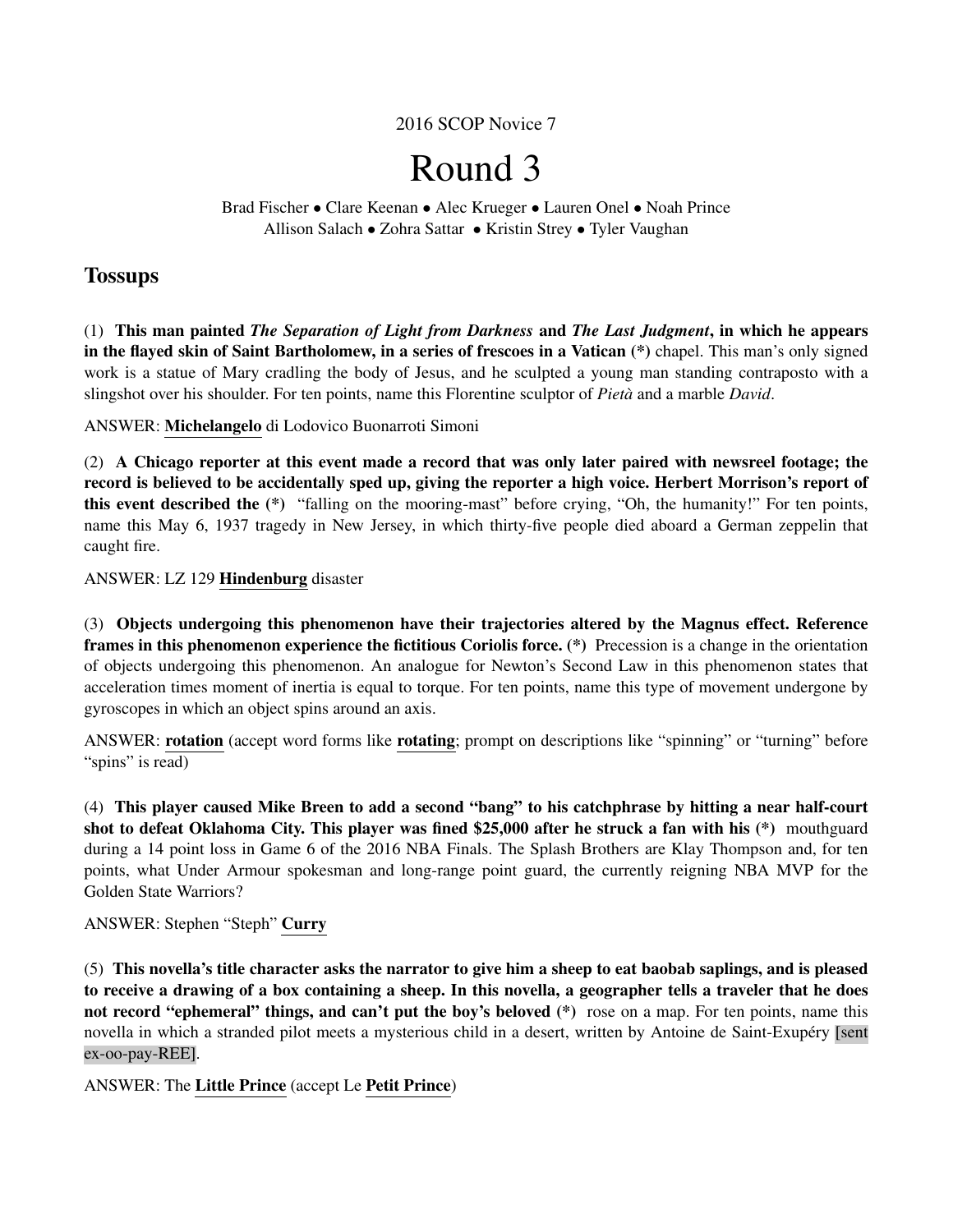# 2016 SCOP Novice 7

# Round 3

Brad Fischer • Clare Keenan • Alec Krueger • Lauren Onel • Noah Prince Allison Salach • Zohra Sattar • Kristin Strey • Tyler Vaughan

# **Tossups**

(1) This man painted *The Separation of Light from Darkness* and *The Last Judgment*, in which he appears in the flayed skin of Saint Bartholomew, in a series of frescoes in a Vatican (\*) chapel. This man's only signed work is a statue of Mary cradling the body of Jesus, and he sculpted a young man standing contraposto with a slingshot over his shoulder. For ten points, name this Florentine sculptor of *Pieta`* and a marble *David*.

ANSWER: Michelangelo di Lodovico Buonarroti Simoni

(2) A Chicago reporter at this event made a record that was only later paired with newsreel footage; the record is believed to be accidentally sped up, giving the reporter a high voice. Herbert Morrison's report of this event described the (\*) "falling on the mooring-mast" before crying, "Oh, the humanity!" For ten points, name this May 6, 1937 tragedy in New Jersey, in which thirty-five people died aboard a German zeppelin that caught fire.

ANSWER: LZ 129 Hindenburg disaster

(3) Objects undergoing this phenomenon have their trajectories altered by the Magnus effect. Reference frames in this phenomenon experience the fictitious Coriolis force. (\*) Precession is a change in the orientation of objects undergoing this phenomenon. An analogue for Newton's Second Law in this phenomenon states that acceleration times moment of inertia is equal to torque. For ten points, name this type of movement undergone by gyroscopes in which an object spins around an axis.

ANSWER: rotation (accept word forms like rotating; prompt on descriptions like "spinning" or "turning" before "spins" is read)

(4) This player caused Mike Breen to add a second "bang" to his catchphrase by hitting a near half-court shot to defeat Oklahoma City. This player was fined \$25,000 after he struck a fan with his (\*) mouthguard during a 14 point loss in Game 6 of the 2016 NBA Finals. The Splash Brothers are Klay Thompson and, for ten points, what Under Armour spokesman and long-range point guard, the currently reigning NBA MVP for the Golden State Warriors?

ANSWER: Stephen "Steph" Curry

(5) This novella's title character asks the narrator to give him a sheep to eat baobab saplings, and is pleased to receive a drawing of a box containing a sheep. In this novella, a geographer tells a traveler that he does not record "ephemeral" things, and can't put the boy's beloved (\*) rose on a map. For ten points, name this novella in which a stranded pilot meets a mysterious child in a desert, written by Antoine de Saint-Exupéry [sent ex-oo-pay-REE].

ANSWER: The Little Prince (accept Le Petit Prince)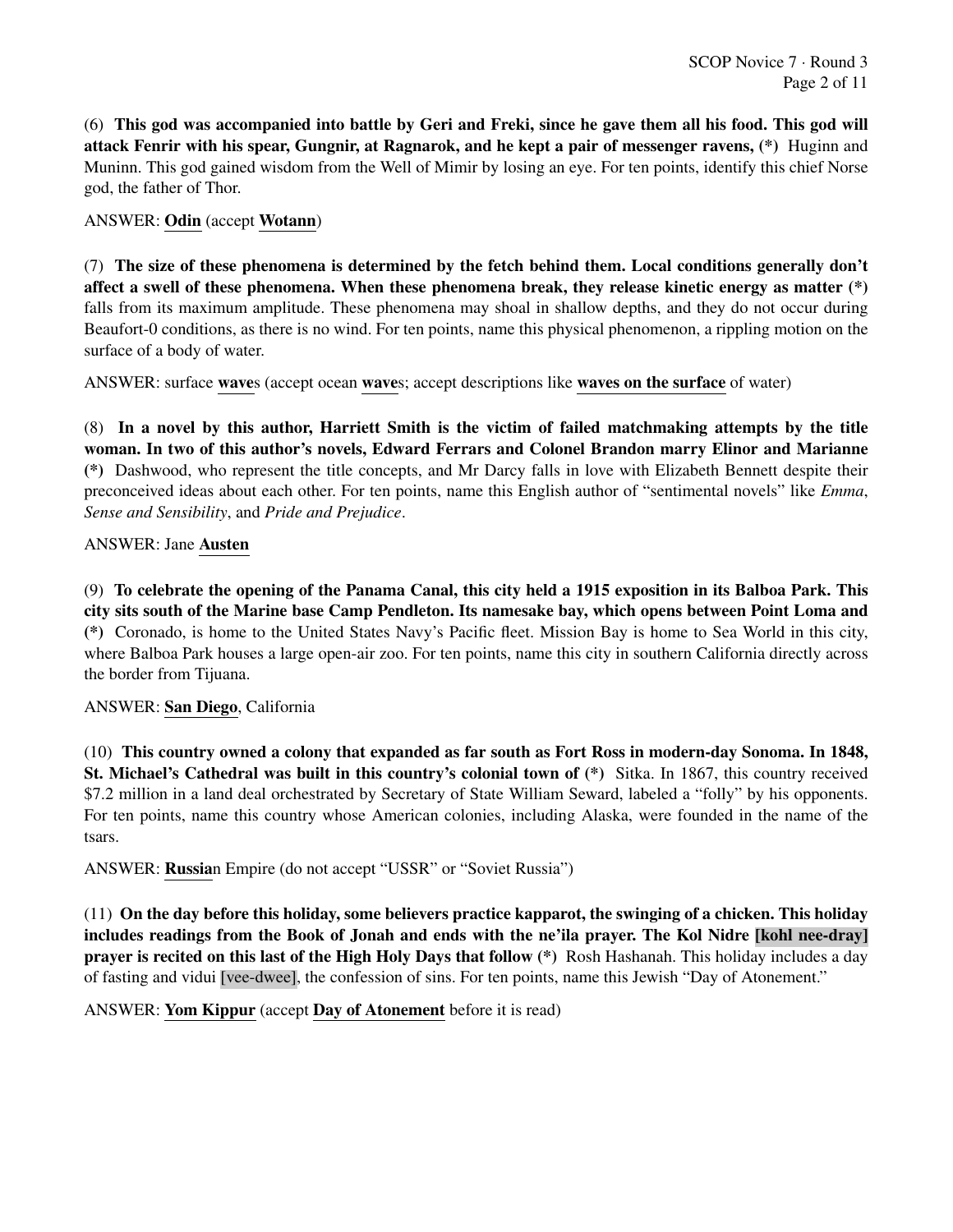(6) This god was accompanied into battle by Geri and Freki, since he gave them all his food. This god will attack Fenrir with his spear, Gungnir, at Ragnarok, and he kept a pair of messenger ravens, (\*) Huginn and Muninn. This god gained wisdom from the Well of Mimir by losing an eye. For ten points, identify this chief Norse god, the father of Thor.

# ANSWER: Odin (accept Wotann)

(7) The size of these phenomena is determined by the fetch behind them. Local conditions generally don't affect a swell of these phenomena. When these phenomena break, they release kinetic energy as matter (\*) falls from its maximum amplitude. These phenomena may shoal in shallow depths, and they do not occur during Beaufort-0 conditions, as there is no wind. For ten points, name this physical phenomenon, a rippling motion on the surface of a body of water.

ANSWER: surface waves (accept ocean waves; accept descriptions like waves on the surface of water)

(8) In a novel by this author, Harriett Smith is the victim of failed matchmaking attempts by the title woman. In two of this author's novels, Edward Ferrars and Colonel Brandon marry Elinor and Marianne (\*) Dashwood, who represent the title concepts, and Mr Darcy falls in love with Elizabeth Bennett despite their preconceived ideas about each other. For ten points, name this English author of "sentimental novels" like *Emma*, *Sense and Sensibility*, and *Pride and Prejudice*.

# ANSWER: Jane Austen

(9) To celebrate the opening of the Panama Canal, this city held a 1915 exposition in its Balboa Park. This city sits south of the Marine base Camp Pendleton. Its namesake bay, which opens between Point Loma and (\*) Coronado, is home to the United States Navy's Pacific fleet. Mission Bay is home to Sea World in this city, where Balboa Park houses a large open-air zoo. For ten points, name this city in southern California directly across the border from Tijuana.

# ANSWER: San Diego, California

(10) This country owned a colony that expanded as far south as Fort Ross in modern-day Sonoma. In 1848, St. Michael's Cathedral was built in this country's colonial town of (\*) Sitka. In 1867, this country received \$7.2 million in a land deal orchestrated by Secretary of State William Seward, labeled a "folly" by his opponents. For ten points, name this country whose American colonies, including Alaska, were founded in the name of the tsars.

ANSWER: Russian Empire (do not accept "USSR" or "Soviet Russia")

(11) On the day before this holiday, some believers practice kapparot, the swinging of a chicken. This holiday includes readings from the Book of Jonah and ends with the ne'ila prayer. The Kol Nidre [kohl nee-dray] prayer is recited on this last of the High Holy Days that follow (\*) Rosh Hashanah. This holiday includes a day of fasting and vidui [vee-dwee], the confession of sins. For ten points, name this Jewish "Day of Atonement."

# ANSWER: Yom Kippur (accept Day of Atonement before it is read)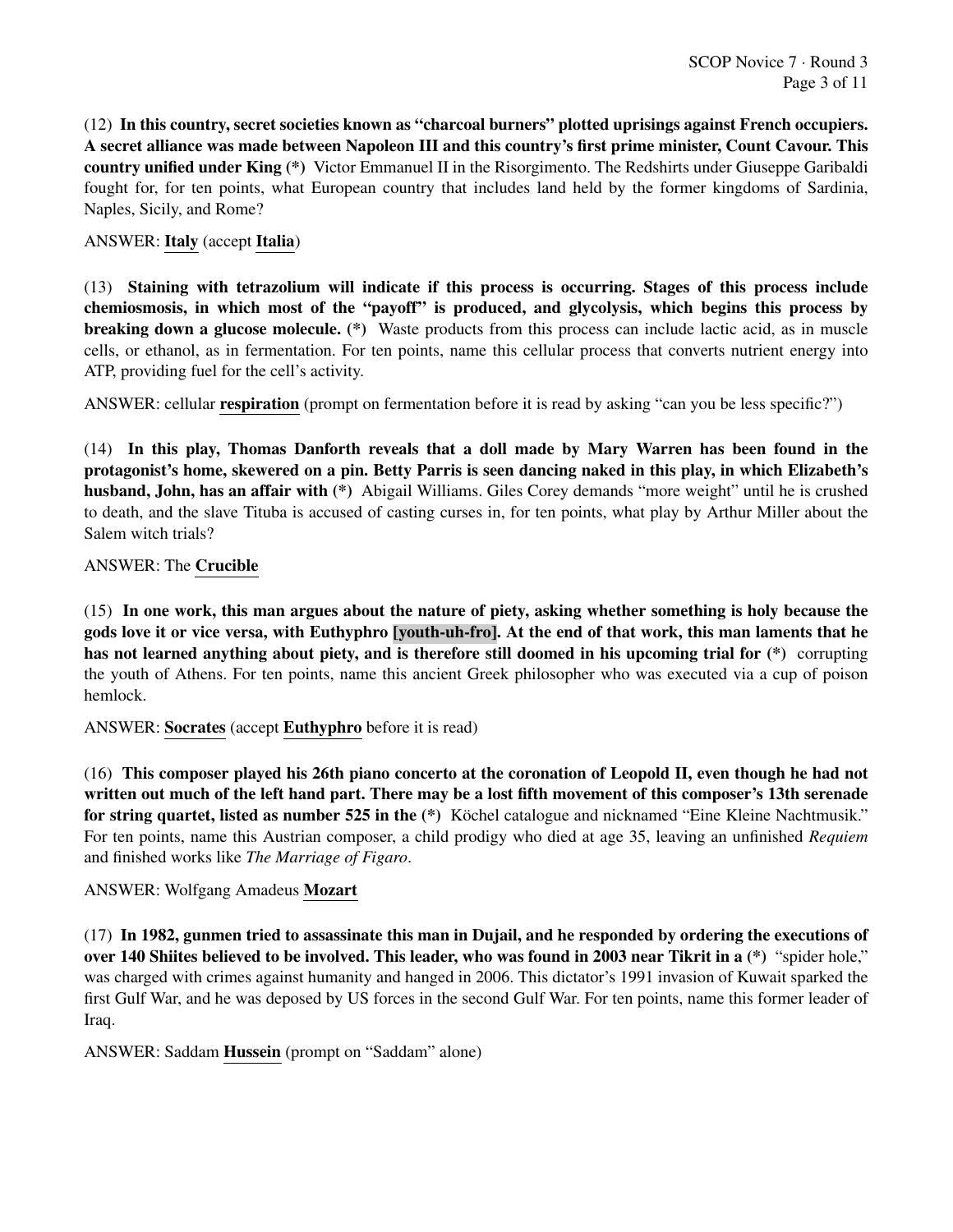(12) In this country, secret societies known as "charcoal burners" plotted uprisings against French occupiers. A secret alliance was made between Napoleon III and this country's first prime minister, Count Cavour. This country unified under King (\*) Victor Emmanuel II in the Risorgimento. The Redshirts under Giuseppe Garibaldi fought for, for ten points, what European country that includes land held by the former kingdoms of Sardinia, Naples, Sicily, and Rome?

# ANSWER: Italy (accept Italia)

(13) Staining with tetrazolium will indicate if this process is occurring. Stages of this process include chemiosmosis, in which most of the "payoff" is produced, and glycolysis, which begins this process by breaking down a glucose molecule. (\*) Waste products from this process can include lactic acid, as in muscle cells, or ethanol, as in fermentation. For ten points, name this cellular process that converts nutrient energy into ATP, providing fuel for the cell's activity.

ANSWER: cellular respiration (prompt on fermentation before it is read by asking "can you be less specific?")

(14) In this play, Thomas Danforth reveals that a doll made by Mary Warren has been found in the protagonist's home, skewered on a pin. Betty Parris is seen dancing naked in this play, in which Elizabeth's husband, John, has an affair with (\*) Abigail Williams. Giles Corey demands "more weight" until he is crushed to death, and the slave Tituba is accused of casting curses in, for ten points, what play by Arthur Miller about the Salem witch trials?

# ANSWER: The Crucible

(15) In one work, this man argues about the nature of piety, asking whether something is holy because the gods love it or vice versa, with Euthyphro [youth-uh-fro]. At the end of that work, this man laments that he has not learned anything about piety, and is therefore still doomed in his upcoming trial for (\*) corrupting the youth of Athens. For ten points, name this ancient Greek philosopher who was executed via a cup of poison hemlock.

ANSWER: Socrates (accept Euthyphro before it is read)

(16) This composer played his 26th piano concerto at the coronation of Leopold II, even though he had not written out much of the left hand part. There may be a lost fifth movement of this composer's 13th serenade for string quartet, listed as number 525 in the (\*) Köchel catalogue and nicknamed "Eine Kleine Nachtmusik." For ten points, name this Austrian composer, a child prodigy who died at age 35, leaving an unfinished *Requiem* and finished works like *The Marriage of Figaro*.

# ANSWER: Wolfgang Amadeus Mozart

(17) In 1982, gunmen tried to assassinate this man in Dujail, and he responded by ordering the executions of over 140 Shiites believed to be involved. This leader, who was found in 2003 near Tikrit in a (\*) "spider hole," was charged with crimes against humanity and hanged in 2006. This dictator's 1991 invasion of Kuwait sparked the first Gulf War, and he was deposed by US forces in the second Gulf War. For ten points, name this former leader of Iraq.

ANSWER: Saddam Hussein (prompt on "Saddam" alone)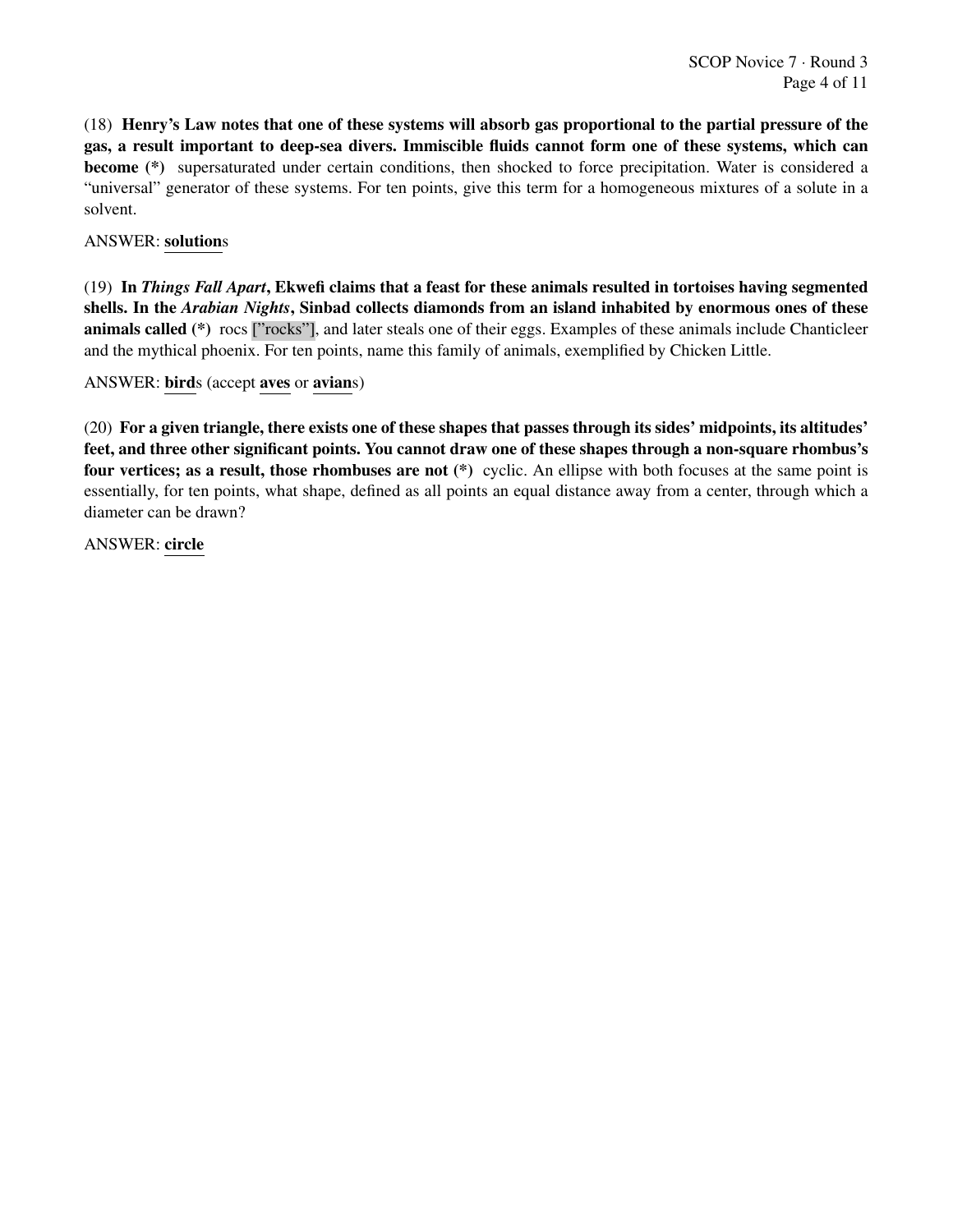(18) Henry's Law notes that one of these systems will absorb gas proportional to the partial pressure of the gas, a result important to deep-sea divers. Immiscible fluids cannot form one of these systems, which can become (\*) supersaturated under certain conditions, then shocked to force precipitation. Water is considered a "universal" generator of these systems. For ten points, give this term for a homogeneous mixtures of a solute in a solvent.

# ANSWER: solutions

(19) In *Things Fall Apart*, Ekwefi claims that a feast for these animals resulted in tortoises having segmented shells. In the *Arabian Nights*, Sinbad collects diamonds from an island inhabited by enormous ones of these animals called (\*) rocs ["rocks"], and later steals one of their eggs. Examples of these animals include Chanticleer and the mythical phoenix. For ten points, name this family of animals, exemplified by Chicken Little.

ANSWER: birds (accept aves or avians)

(20) For a given triangle, there exists one of these shapes that passes through its sides' midpoints, its altitudes' feet, and three other significant points. You cannot draw one of these shapes through a non-square rhombus's four vertices; as a result, those rhombuses are not (\*) cyclic. An ellipse with both focuses at the same point is essentially, for ten points, what shape, defined as all points an equal distance away from a center, through which a diameter can be drawn?

ANSWER: circle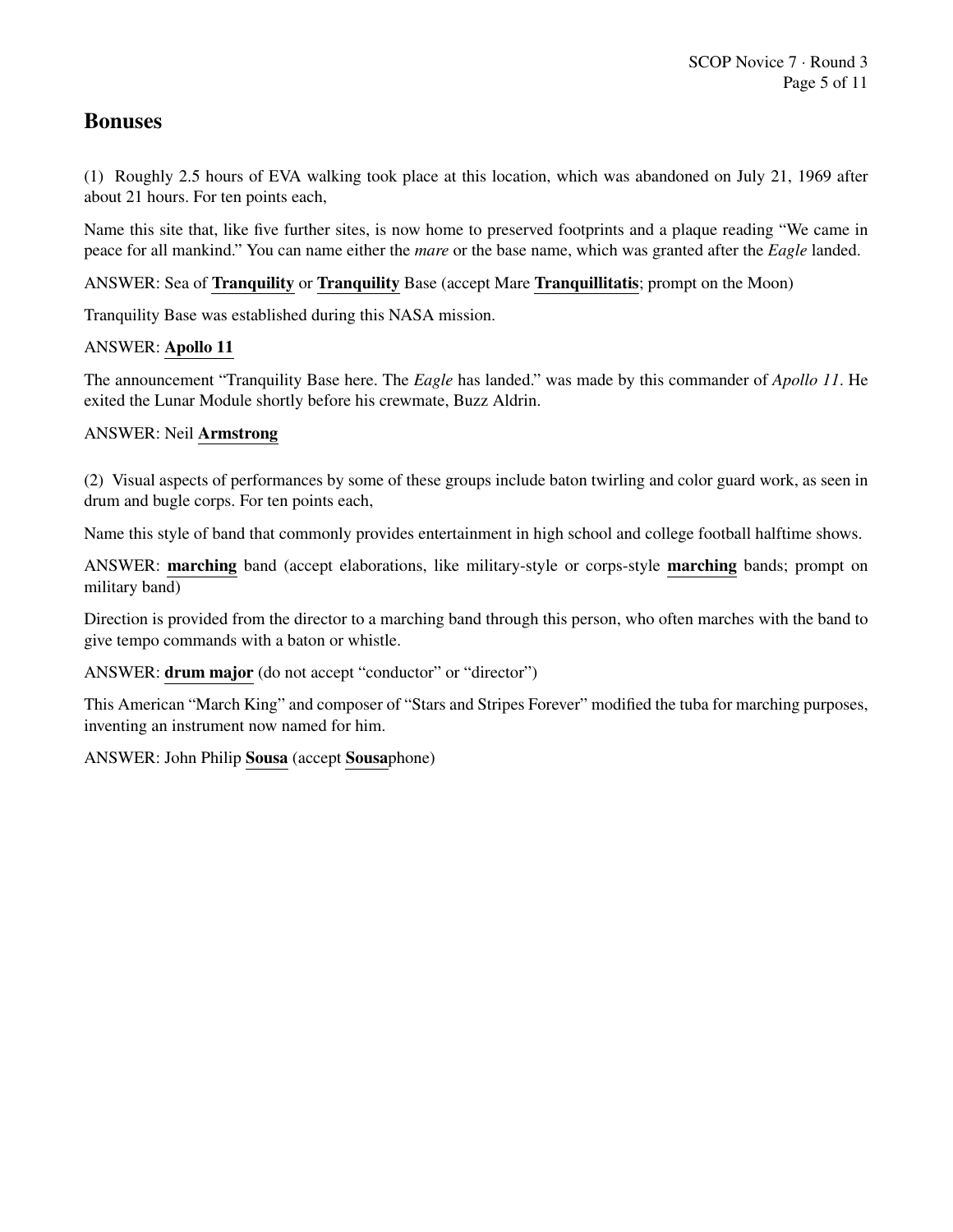# Bonuses

(1) Roughly 2.5 hours of EVA walking took place at this location, which was abandoned on July 21, 1969 after about 21 hours. For ten points each,

Name this site that, like five further sites, is now home to preserved footprints and a plaque reading "We came in peace for all mankind." You can name either the *mare* or the base name, which was granted after the *Eagle* landed.

ANSWER: Sea of Tranquility or Tranquility Base (accept Mare Tranquillitatis; prompt on the Moon)

Tranquility Base was established during this NASA mission.

# ANSWER: Apollo 11

The announcement "Tranquility Base here. The *Eagle* has landed." was made by this commander of *Apollo 11*. He exited the Lunar Module shortly before his crewmate, Buzz Aldrin.

# ANSWER: Neil Armstrong

(2) Visual aspects of performances by some of these groups include baton twirling and color guard work, as seen in drum and bugle corps. For ten points each,

Name this style of band that commonly provides entertainment in high school and college football halftime shows.

ANSWER: marching band (accept elaborations, like military-style or corps-style marching bands; prompt on military band)

Direction is provided from the director to a marching band through this person, who often marches with the band to give tempo commands with a baton or whistle.

ANSWER: drum major (do not accept "conductor" or "director")

This American "March King" and composer of "Stars and Stripes Forever" modified the tuba for marching purposes, inventing an instrument now named for him.

ANSWER: John Philip Sousa (accept Sousaphone)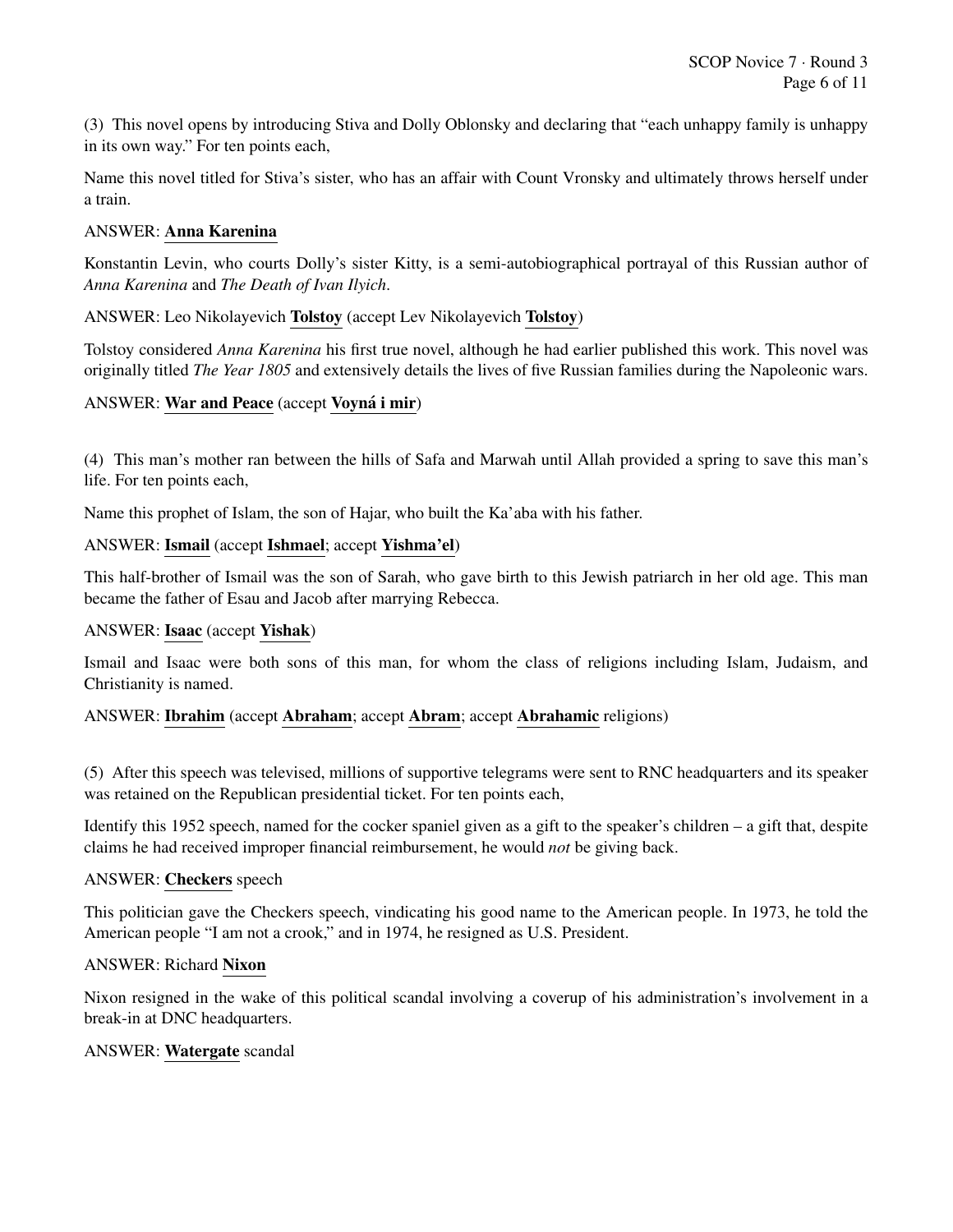(3) This novel opens by introducing Stiva and Dolly Oblonsky and declaring that "each unhappy family is unhappy in its own way." For ten points each,

Name this novel titled for Stiva's sister, who has an affair with Count Vronsky and ultimately throws herself under a train.

#### ANSWER: Anna Karenina

Konstantin Levin, who courts Dolly's sister Kitty, is a semi-autobiographical portrayal of this Russian author of *Anna Karenina* and *The Death of Ivan Ilyich*.

ANSWER: Leo Nikolayevich Tolstoy (accept Lev Nikolayevich Tolstoy)

Tolstoy considered *Anna Karenina* his first true novel, although he had earlier published this work. This novel was originally titled *The Year 1805* and extensively details the lives of five Russian families during the Napoleonic wars.

# ANSWER: War and Peace (accept Voyná i mir)

(4) This man's mother ran between the hills of Safa and Marwah until Allah provided a spring to save this man's life. For ten points each,

Name this prophet of Islam, the son of Hajar, who built the Ka'aba with his father.

#### ANSWER: Ismail (accept Ishmael; accept Yishma'el)

This half-brother of Ismail was the son of Sarah, who gave birth to this Jewish patriarch in her old age. This man became the father of Esau and Jacob after marrying Rebecca.

#### ANSWER: Isaac (accept Yishak)

Ismail and Isaac were both sons of this man, for whom the class of religions including Islam, Judaism, and Christianity is named.

#### ANSWER: Ibrahim (accept Abraham; accept Abram; accept Abrahamic religions)

(5) After this speech was televised, millions of supportive telegrams were sent to RNC headquarters and its speaker was retained on the Republican presidential ticket. For ten points each,

Identify this 1952 speech, named for the cocker spaniel given as a gift to the speaker's children – a gift that, despite claims he had received improper financial reimbursement, he would *not* be giving back.

#### ANSWER: Checkers speech

This politician gave the Checkers speech, vindicating his good name to the American people. In 1973, he told the American people "I am not a crook," and in 1974, he resigned as U.S. President.

#### ANSWER: Richard Nixon

Nixon resigned in the wake of this political scandal involving a coverup of his administration's involvement in a break-in at DNC headquarters.

#### ANSWER: Watergate scandal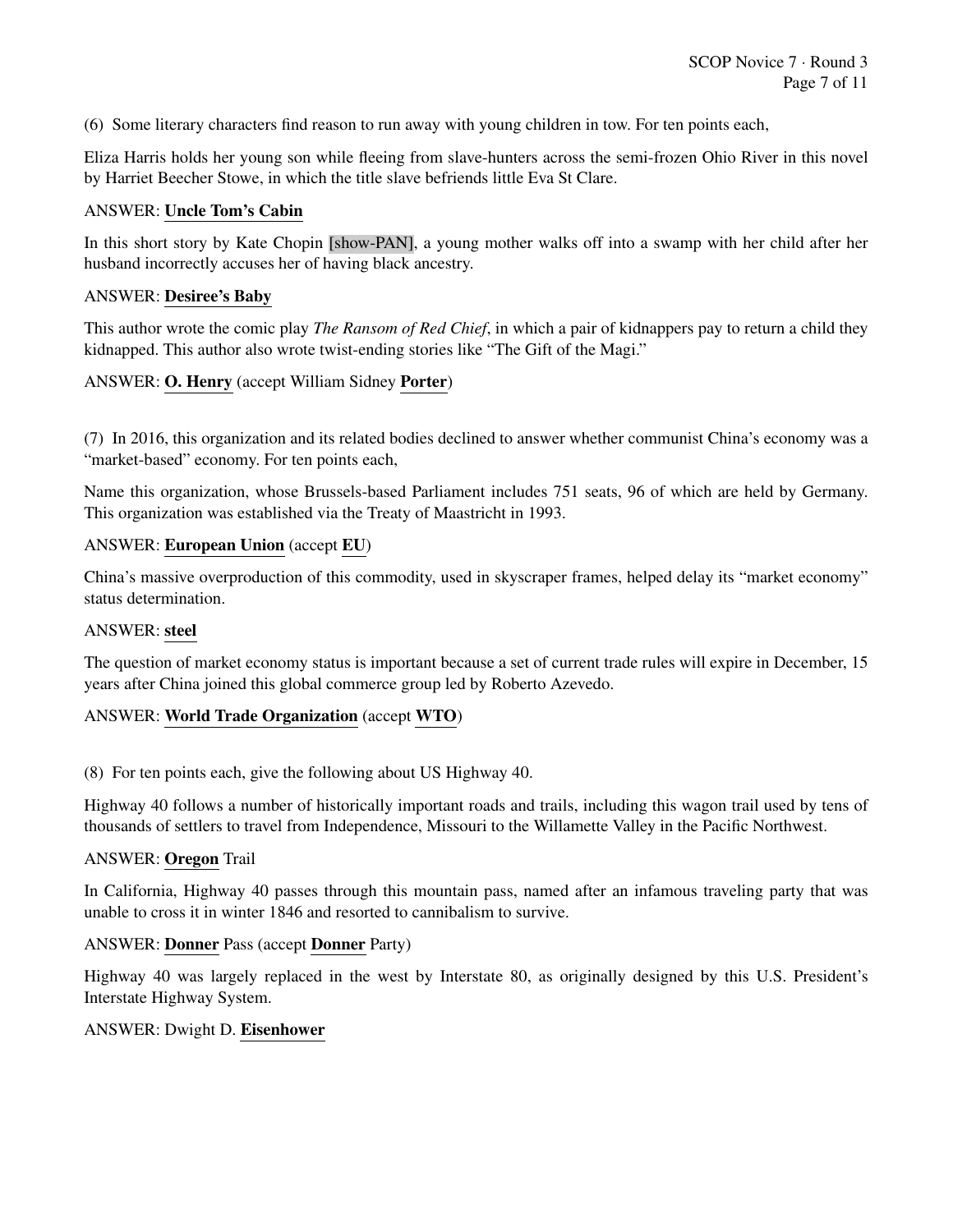(6) Some literary characters find reason to run away with young children in tow. For ten points each,

Eliza Harris holds her young son while fleeing from slave-hunters across the semi-frozen Ohio River in this novel by Harriet Beecher Stowe, in which the title slave befriends little Eva St Clare.

#### ANSWER: Uncle Tom's Cabin

In this short story by Kate Chopin [show-PAN], a young mother walks off into a swamp with her child after her husband incorrectly accuses her of having black ancestry.

#### ANSWER: Desiree's Baby

This author wrote the comic play *The Ransom of Red Chief*, in which a pair of kidnappers pay to return a child they kidnapped. This author also wrote twist-ending stories like "The Gift of the Magi."

# ANSWER: O. Henry (accept William Sidney Porter)

(7) In 2016, this organization and its related bodies declined to answer whether communist China's economy was a "market-based" economy. For ten points each,

Name this organization, whose Brussels-based Parliament includes 751 seats, 96 of which are held by Germany. This organization was established via the Treaty of Maastricht in 1993.

#### ANSWER: European Union (accept EU)

China's massive overproduction of this commodity, used in skyscraper frames, helped delay its "market economy" status determination.

# ANSWER: steel

The question of market economy status is important because a set of current trade rules will expire in December, 15 years after China joined this global commerce group led by Roberto Azevedo.

#### ANSWER: World Trade Organization (accept WTO)

(8) For ten points each, give the following about US Highway 40.

Highway 40 follows a number of historically important roads and trails, including this wagon trail used by tens of thousands of settlers to travel from Independence, Missouri to the Willamette Valley in the Pacific Northwest.

#### ANSWER: Oregon Trail

In California, Highway 40 passes through this mountain pass, named after an infamous traveling party that was unable to cross it in winter 1846 and resorted to cannibalism to survive.

#### ANSWER: Donner Pass (accept Donner Party)

Highway 40 was largely replaced in the west by Interstate 80, as originally designed by this U.S. President's Interstate Highway System.

#### ANSWER: Dwight D. Eisenhower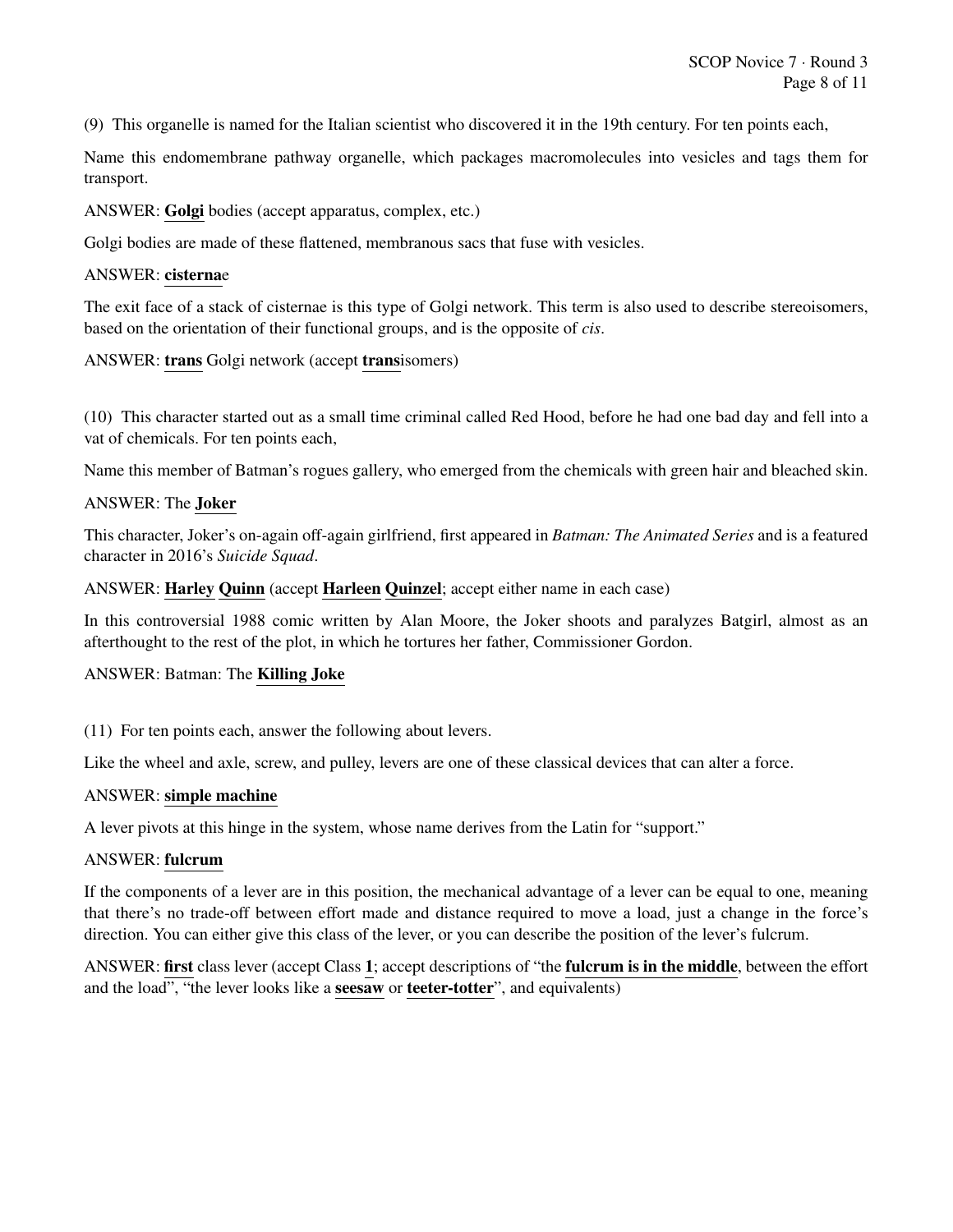(9) This organelle is named for the Italian scientist who discovered it in the 19th century. For ten points each,

Name this endomembrane pathway organelle, which packages macromolecules into vesicles and tags them for transport.

ANSWER: Golgi bodies (accept apparatus, complex, etc.)

Golgi bodies are made of these flattened, membranous sacs that fuse with vesicles.

#### ANSWER: cisternae

The exit face of a stack of cisternae is this type of Golgi network. This term is also used to describe stereoisomers, based on the orientation of their functional groups, and is the opposite of *cis*.

#### ANSWER: trans Golgi network (accept transisomers)

(10) This character started out as a small time criminal called Red Hood, before he had one bad day and fell into a vat of chemicals. For ten points each,

Name this member of Batman's rogues gallery, who emerged from the chemicals with green hair and bleached skin.

#### ANSWER: The Joker

This character, Joker's on-again off-again girlfriend, first appeared in *Batman: The Animated Series* and is a featured character in 2016's *Suicide Squad*.

ANSWER: Harley Quinn (accept Harleen Quinzel; accept either name in each case)

In this controversial 1988 comic written by Alan Moore, the Joker shoots and paralyzes Batgirl, almost as an afterthought to the rest of the plot, in which he tortures her father, Commissioner Gordon.

#### ANSWER: Batman: The Killing Joke

(11) For ten points each, answer the following about levers.

Like the wheel and axle, screw, and pulley, levers are one of these classical devices that can alter a force.

#### ANSWER: simple machine

A lever pivots at this hinge in the system, whose name derives from the Latin for "support."

# ANSWER: fulcrum

If the components of a lever are in this position, the mechanical advantage of a lever can be equal to one, meaning that there's no trade-off between effort made and distance required to move a load, just a change in the force's direction. You can either give this class of the lever, or you can describe the position of the lever's fulcrum.

ANSWER: first class lever (accept Class 1; accept descriptions of "the fulcrum is in the middle, between the effort and the load", "the lever looks like a **seesaw** or **teeter-totter**", and equivalents)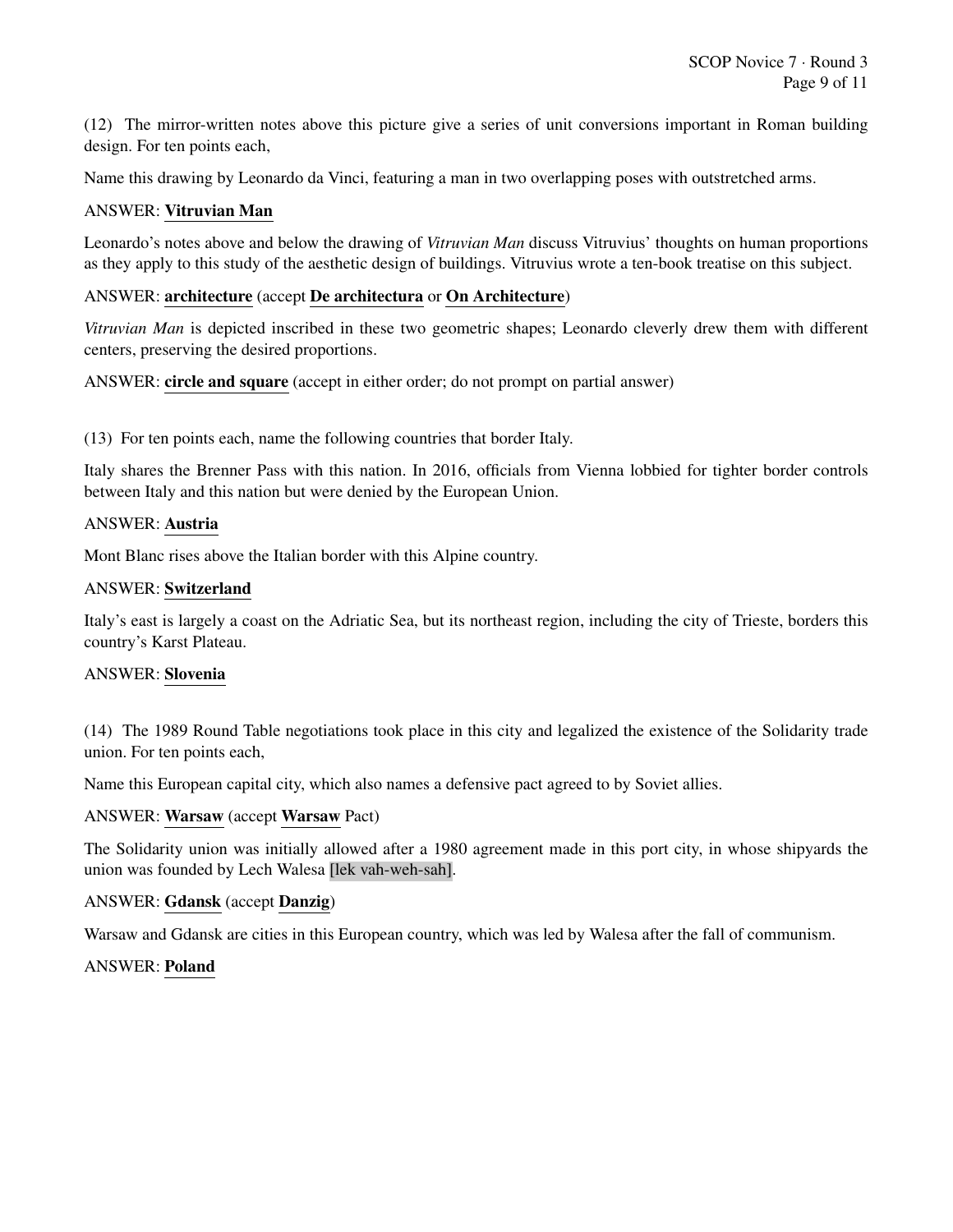(12) The mirror-written notes above this picture give a series of unit conversions important in Roman building design. For ten points each,

Name this drawing by Leonardo da Vinci, featuring a man in two overlapping poses with outstretched arms.

#### ANSWER: Vitruvian Man

Leonardo's notes above and below the drawing of *Vitruvian Man* discuss Vitruvius' thoughts on human proportions as they apply to this study of the aesthetic design of buildings. Vitruvius wrote a ten-book treatise on this subject.

#### ANSWER: architecture (accept De architectura or On Architecture)

*Vitruvian Man* is depicted inscribed in these two geometric shapes; Leonardo cleverly drew them with different centers, preserving the desired proportions.

ANSWER: circle and square (accept in either order; do not prompt on partial answer)

(13) For ten points each, name the following countries that border Italy.

Italy shares the Brenner Pass with this nation. In 2016, officials from Vienna lobbied for tighter border controls between Italy and this nation but were denied by the European Union.

#### ANSWER: Austria

Mont Blanc rises above the Italian border with this Alpine country.

#### ANSWER: Switzerland

Italy's east is largely a coast on the Adriatic Sea, but its northeast region, including the city of Trieste, borders this country's Karst Plateau.

#### ANSWER: Slovenia

(14) The 1989 Round Table negotiations took place in this city and legalized the existence of the Solidarity trade union. For ten points each,

Name this European capital city, which also names a defensive pact agreed to by Soviet allies.

#### ANSWER: Warsaw (accept Warsaw Pact)

The Solidarity union was initially allowed after a 1980 agreement made in this port city, in whose shipyards the union was founded by Lech Walesa [lek vah-weh-sah].

#### ANSWER: Gdansk (accept Danzig)

Warsaw and Gdansk are cities in this European country, which was led by Walesa after the fall of communism.

#### ANSWER: Poland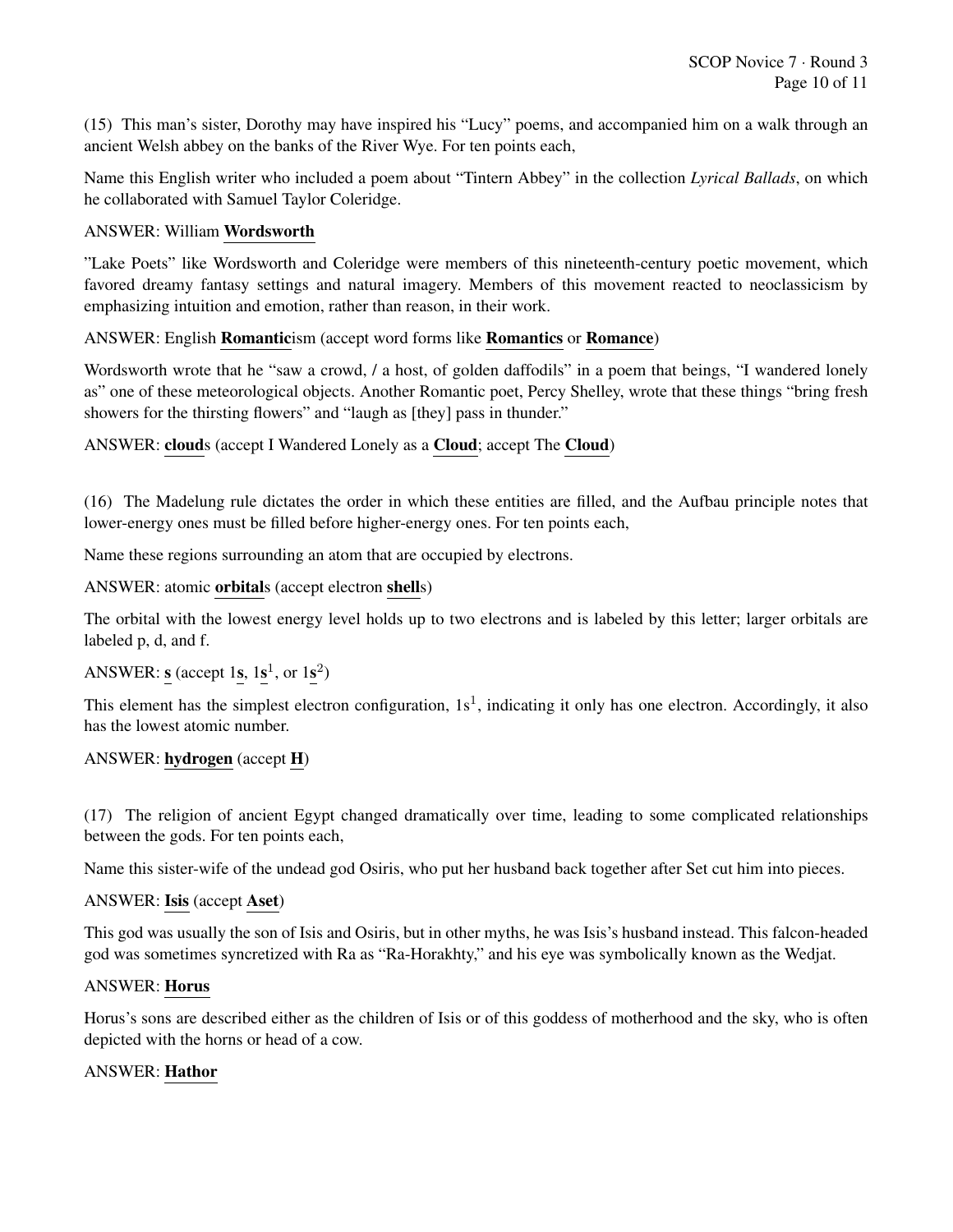(15) This man's sister, Dorothy may have inspired his "Lucy" poems, and accompanied him on a walk through an ancient Welsh abbey on the banks of the River Wye. For ten points each,

Name this English writer who included a poem about "Tintern Abbey" in the collection *Lyrical Ballads*, on which he collaborated with Samuel Taylor Coleridge.

# ANSWER: William Wordsworth

"Lake Poets" like Wordsworth and Coleridge were members of this nineteenth-century poetic movement, which favored dreamy fantasy settings and natural imagery. Members of this movement reacted to neoclassicism by emphasizing intuition and emotion, rather than reason, in their work.

ANSWER: English Romanticism (accept word forms like Romantics or Romance)

Wordsworth wrote that he "saw a crowd, / a host, of golden daffodils" in a poem that beings, "I wandered lonely as" one of these meteorological objects. Another Romantic poet, Percy Shelley, wrote that these things "bring fresh showers for the thirsting flowers" and "laugh as [they] pass in thunder."

ANSWER: clouds (accept I Wandered Lonely as a Cloud; accept The Cloud)

(16) The Madelung rule dictates the order in which these entities are filled, and the Aufbau principle notes that lower-energy ones must be filled before higher-energy ones. For ten points each,

Name these regions surrounding an atom that are occupied by electrons.

ANSWER: atomic orbitals (accept electron shells)

The orbital with the lowest energy level holds up to two electrons and is labeled by this letter; larger orbitals are labeled p, d, and f.

ANSWER:  $s$  (accept 1s,  $1s^1$ , or  $1s^2$ )

This element has the simplest electron configuration,  $1s<sup>1</sup>$ , indicating it only has one electron. Accordingly, it also has the lowest atomic number.

#### ANSWER: hydrogen (accept H)

(17) The religion of ancient Egypt changed dramatically over time, leading to some complicated relationships between the gods. For ten points each,

Name this sister-wife of the undead god Osiris, who put her husband back together after Set cut him into pieces.

#### ANSWER: Isis (accept Aset)

This god was usually the son of Isis and Osiris, but in other myths, he was Isis's husband instead. This falcon-headed god was sometimes syncretized with Ra as "Ra-Horakhty," and his eye was symbolically known as the Wedjat.

#### ANSWER: Horus

Horus's sons are described either as the children of Isis or of this goddess of motherhood and the sky, who is often depicted with the horns or head of a cow.

#### ANSWER: Hathor